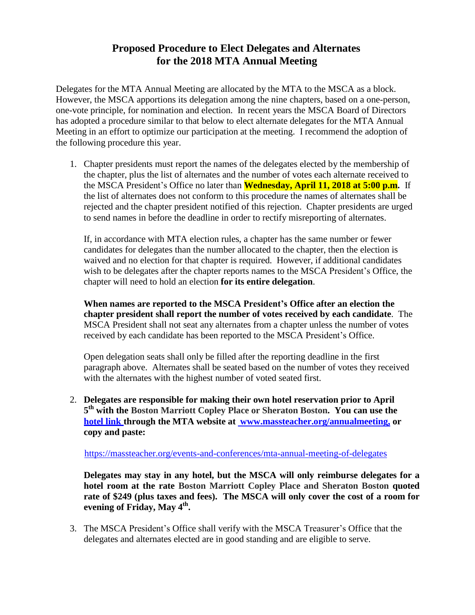## **Proposed Procedure to Elect Delegates and Alternates for the 2018 MTA Annual Meeting**

Delegates for the MTA Annual Meeting are allocated by the MTA to the MSCA as a block. However, the MSCA apportions its delegation among the nine chapters, based on a one-person, one-vote principle, for nomination and election. In recent years the MSCA Board of Directors has adopted a procedure similar to that below to elect alternate delegates for the MTA Annual Meeting in an effort to optimize our participation at the meeting. I recommend the adoption of the following procedure this year.

1. Chapter presidents must report the names of the delegates elected by the membership of the chapter, plus the list of alternates and the number of votes each alternate received to the MSCA President's Office no later than **Wednesday, April 11, 2018 at 5:00 p.m.** If the list of alternates does not conform to this procedure the names of alternates shall be rejected and the chapter president notified of this rejection. Chapter presidents are urged to send names in before the deadline in order to rectify misreporting of alternates.

If, in accordance with MTA election rules, a chapter has the same number or fewer candidates for delegates than the number allocated to the chapter, then the election is waived and no election for that chapter is required. However, if additional candidates wish to be delegates after the chapter reports names to the MSCA President's Office, the chapter will need to hold an election **for its entire delegation**.

**When names are reported to the MSCA President's Office after an election the chapter president shall report the number of votes received by each candidate**. The MSCA President shall not seat any alternates from a chapter unless the number of votes received by each candidate has been reported to the MSCA President's Office.

Open delegation seats shall only be filled after the reporting deadline in the first paragraph above. Alternates shall be seated based on the number of votes they received with the alternates with the highest number of voted seated first.

2. **Delegates are responsible for making their own hotel reservation prior to April 5 th with the Boston Marriott Copley Place or Sheraton Boston. You can use the [hotel](http://www.cvent.com/events/2017-annual-meeting-hotel-registration/custom-22-2cd827144e01414cacac14ded8018d4a.aspx?cpc=NXNNZPYDLVH) link through the MTA website at www.massteacher.org/annualmeeting, or copy and paste:**

<https://massteacher.org/events-and-conferences/mta-annual-meeting-of-delegates>

**Delegates may stay in any hotel, but the MSCA will only reimburse delegates for a hotel room at the rate Boston Marriott Copley Place and Sheraton Boston quoted rate of \$249 (plus taxes and fees). The MSCA will only cover the cost of a room for evening of Friday, May 4 th .**

3. The MSCA President's Office shall verify with the MSCA Treasurer's Office that the delegates and alternates elected are in good standing and are eligible to serve.